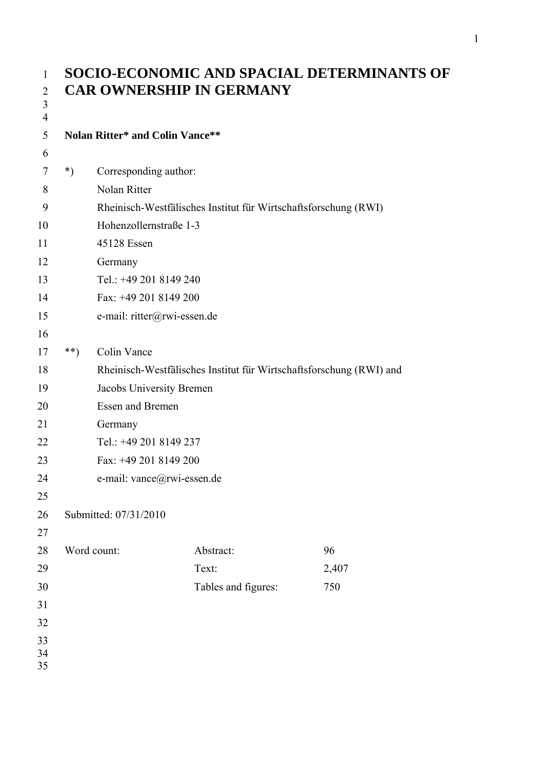| $\mathbf{1}$                     | SOCIO-ECONOMIC AND SPACIAL DETERMINANTS OF |                                        |                                                                     |       |  |  |
|----------------------------------|--------------------------------------------|----------------------------------------|---------------------------------------------------------------------|-------|--|--|
| $\overline{2}$                   |                                            | <b>CAR OWNERSHIP IN GERMANY</b>        |                                                                     |       |  |  |
| $\mathfrak{Z}$<br>$\overline{4}$ |                                            |                                        |                                                                     |       |  |  |
| 5                                |                                            | <b>Nolan Ritter* and Colin Vance**</b> |                                                                     |       |  |  |
| 6                                |                                            |                                        |                                                                     |       |  |  |
| 7                                | $^*)$                                      | Corresponding author:                  |                                                                     |       |  |  |
| 8                                |                                            | Nolan Ritter                           |                                                                     |       |  |  |
| 9                                |                                            |                                        | Rheinisch-Westfälisches Institut für Wirtschaftsforschung (RWI)     |       |  |  |
| 10                               |                                            | Hohenzollernstraße 1-3                 |                                                                     |       |  |  |
| 11                               |                                            | 45128 Essen                            |                                                                     |       |  |  |
| 12                               |                                            | Germany                                |                                                                     |       |  |  |
| 13                               |                                            | Tel.: +49 201 8149 240                 |                                                                     |       |  |  |
| 14                               |                                            | Fax: +49 201 8149 200                  |                                                                     |       |  |  |
| 15                               |                                            | e-mail: ritter@rwi-essen.de            |                                                                     |       |  |  |
| 16                               |                                            |                                        |                                                                     |       |  |  |
| 17                               | $***)$                                     | Colin Vance                            |                                                                     |       |  |  |
| 18                               |                                            |                                        | Rheinisch-Westfälisches Institut für Wirtschaftsforschung (RWI) and |       |  |  |
| 19                               |                                            | Jacobs University Bremen               |                                                                     |       |  |  |
| 20                               |                                            | <b>Essen and Bremen</b>                |                                                                     |       |  |  |
| 21                               |                                            | Germany                                |                                                                     |       |  |  |
| 22                               |                                            | Tel.: +49 201 8149 237                 |                                                                     |       |  |  |
| 23                               |                                            | Fax: +49 201 8149 200                  |                                                                     |       |  |  |
| 24                               |                                            | e-mail: vance@rwi-essen.de             |                                                                     |       |  |  |
| 25                               |                                            |                                        |                                                                     |       |  |  |
| 26                               |                                            | Submitted: 07/31/2010                  |                                                                     |       |  |  |
| 27                               |                                            |                                        |                                                                     |       |  |  |
| 28                               |                                            | Word count:                            | Abstract:                                                           | 96    |  |  |
| 29                               |                                            |                                        | Text:                                                               | 2,407 |  |  |
| 30                               |                                            |                                        | Tables and figures:                                                 | 750   |  |  |
| 31                               |                                            |                                        |                                                                     |       |  |  |
| 32                               |                                            |                                        |                                                                     |       |  |  |
| 33                               |                                            |                                        |                                                                     |       |  |  |
| 34<br>35                         |                                            |                                        |                                                                     |       |  |  |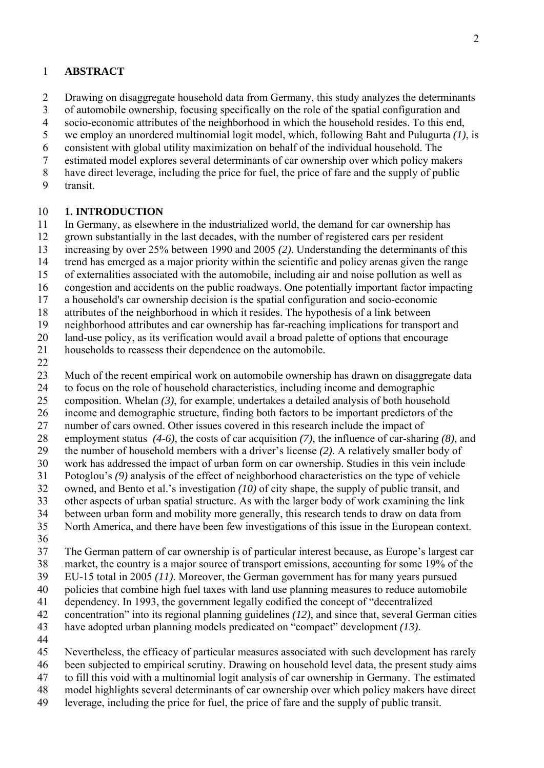### 1 **ABSTRACT**

2 3 4 5 Drawing on disaggregate household data from Germany, this study analyzes the determinants of automobile ownership, focusing specifically on the role of the spatial configuration and socio-economic attributes of the neighborhood in which the household resides. To this end, we employ an unordered multinomial logit model, which, following Baht and Pulugurta *(1)*, is

6 consistent with global utility maximization on behalf of the individual household. The

7 estimated model explores several determinants of car ownership over which policy makers

- 8 have direct leverage, including the price for fuel, the price of fare and the supply of public
- 9 transit.

#### 10 **1. INTRODUCTION**

11 In Germany, as elsewhere in the industrialized world, the demand for car ownership has

- 12 grown substantially in the last decades, with the number of registered cars per resident
- 13 increasing by over 25% between 1990 and 2005 *(2)*. Understanding the determinants of this
- 14 trend has emerged as a major priority within the scientific and policy arenas given the range
- 15 of externalities associated with the automobile, including air and noise pollution as well as
- 16 congestion and accidents on the public roadways. One potentially important factor impacting
- 17 a household's car ownership decision is the spatial configuration and socio-economic
- 18 attributes of the neighborhood in which it resides. The hypothesis of a link between
- 19 neighborhood attributes and car ownership has far-reaching implications for transport and

20 land-use policy, as its verification would avail a broad palette of options that encourage

21 households to reassess their dependence on the automobile.

22

23 Much of the recent empirical work on automobile ownership has drawn on disaggregate data

24 to focus on the role of household characteristics, including income and demographic

- 25 composition. Whelan *(3)*, for example, undertakes a detailed analysis of both household
- 26 income and demographic structure, finding both factors to be important predictors of the
- 27 number of cars owned. Other issues covered in this research include the impact of
- 28 employment status *(4-6)*, the costs of car acquisition *(7)*, the influence of car-sharing *(8)*, and
- 29 the number of household members with a driver's license *(2)*. A relatively smaller body of
- 30 work has addressed the impact of urban form on car ownership. Studies in this vein include
- 31 Potoglou's *(9)* analysis of the effect of neighborhood characteristics on the type of vehicle
- 32 owned, and Bento et al.'s investigation *(10)* of city shape, the supply of public transit, and
- 33 other aspects of urban spatial structure. As with the larger body of work examining the link
- 34 between urban form and mobility more generally, this research tends to draw on data from
- 35 North America, and there have been few investigations of this issue in the European context.
- 36
- 37 The German pattern of car ownership is of particular interest because, as Europe's largest car
- 38 market, the country is a major source of transport emissions, accounting for some 19% of the

39 EU-15 total in 2005 *(11)*. Moreover, the German government has for many years pursued

- 40 policies that combine high fuel taxes with land use planning measures to reduce automobile
- 41 dependency. In 1993, the government legally codified the concept of "decentralized concentration" into its regional planning guidelines *(12)*, and since that, several German cities
- 42 43 have adopted urban planning models predicated on "compact" development *(13)*.
- 44

45 Nevertheless, the efficacy of particular measures associated with such development has rarely

- 46 been subjected to empirical scrutiny. Drawing on household level data, the present study aims
- 47 to fill this void with a multinomial logit analysis of car ownership in Germany. The estimated
- 48 model highlights several determinants of car ownership over which policy makers have direct
- 49 leverage, including the price for fuel, the price of fare and the supply of public transit.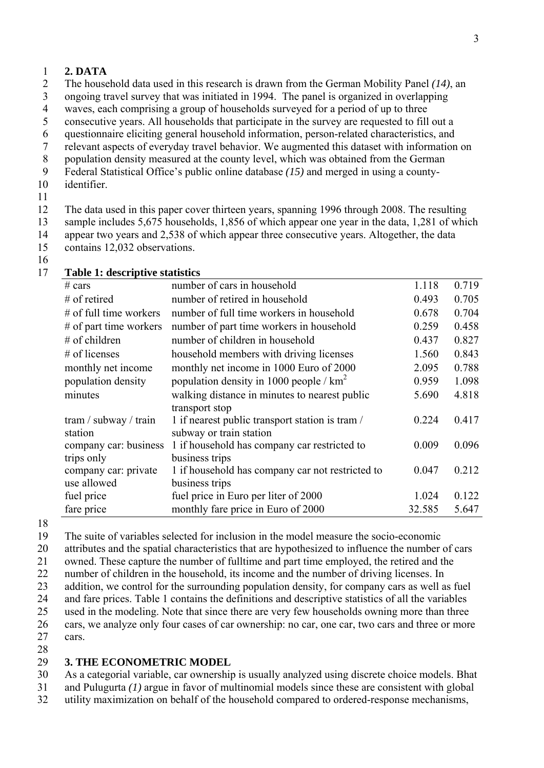### 1 **2. DATA**

2 The household data used in this research is drawn from the German Mobility Panel *(14)*, an

3 ongoing travel survey that was initiated in 1994. The panel is organized in overlapping

4 waves, each comprising a group of households surveyed for a period of up to three

- 5 consecutive years. All households that participate in the survey are requested to fill out a
- 6 questionnaire eliciting general household information, person-related characteristics, and
- 7 relevant aspects of everyday travel behavior. We augmented this dataset with information on
- 8 population density measured at the county level, which was obtained from the German
- 9 Federal Statistical Office's public online database *(15)* and merged in using a countyidentifier.
- 10 11

12 13 14 15 The data used in this paper cover thirteen years, spanning 1996 through 2008. The resulting sample includes 5,675 households, 1,856 of which appear one year in the data, 1,281 of which appear two years and 2,538 of which appear three consecutive years. Altogether, the data contains 12,032 observations.

16

| # cars                   | number of cars in household                      | 1.118  | 0.719 |
|--------------------------|--------------------------------------------------|--------|-------|
| $#$ of retired           | number of retired in household                   | 0.493  | 0.705 |
| $#$ of full time workers | number of full time workers in household         | 0.678  | 0.704 |
| $#$ of part time workers | number of part time workers in household         | 0.259  | 0.458 |
| $#$ of children          | number of children in household                  | 0.437  | 0.827 |
| # of licenses            | household members with driving licenses          | 1.560  | 0.843 |
| monthly net income       | monthly net income in 1000 Euro of 2000          | 2.095  | 0.788 |
| population density       | population density in 1000 people / $km^2$       | 0.959  | 1.098 |
| minutes                  | walking distance in minutes to nearest public    | 5.690  | 4.818 |
|                          | transport stop                                   |        |       |
| tram / subway / train    | 1 if nearest public transport station is tram /  | 0.224  | 0.417 |
| station                  | subway or train station                          |        |       |
| company car: business    | 1 if household has company car restricted to     | 0.009  | 0.096 |
| trips only               | business trips                                   |        |       |
| company car: private     | 1 if household has company car not restricted to | 0.047  | 0.212 |
| use allowed              | business trips                                   |        |       |
| fuel price               | fuel price in Euro per liter of 2000             | 1.024  | 0.122 |
| fare price               | monthly fare price in Euro of 2000               | 32.585 | 5.647 |

17 **Table 1: descriptive statistics** 

18

19 The suite of variables selected for inclusion in the model measure the socio-economic

20 attributes and the spatial characteristics that are hypothesized to influence the number of cars

21 owned. These capture the number of fulltime and part time employed, the retired and the

22 number of children in the household, its income and the number of driving licenses. In

23 addition, we control for the surrounding population density, for company cars as well as fuel

24 and fare prices. Table 1 contains the definitions and descriptive statistics of all the variables

25 used in the modeling. Note that since there are very few households owning more than three

26 27 28 cars, we analyze only four cases of car ownership: no car, one car, two cars and three or more cars.

#### 29 **3. THE ECONOMETRIC MODEL**

30 As a categorial variable, car ownership is usually analyzed using discrete choice models. Bhat

31 and Pulugurta *(1)* argue in favor of multinomial models since these are consistent with global

32 utility maximization on behalf of the household compared to ordered-response mechanisms,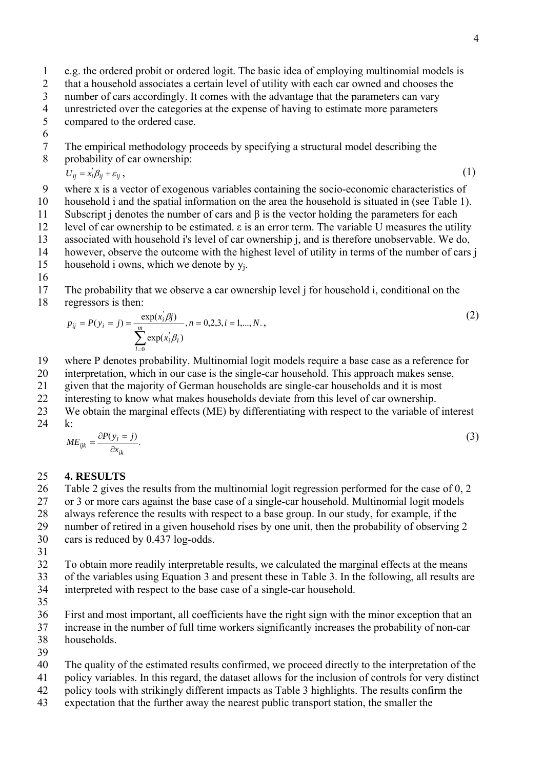- 1 e.g. the ordered probit or ordered logit. The basic idea of employing multinomial models is
- 2 that a household associates a certain level of utility with each car owned and chooses the
- 3 number of cars accordingly. It comes with the advantage that the parameters can vary
- 4 unrestricted over the categories at the expense of having to estimate more parameters
- 5 compared to the ordered case.
- 6
- 7 8 The empirical methodology proceeds by specifying a structural model describing the probability of car ownership:

$$
U_{ij} = x_i \beta_{ij} + \varepsilon_{ij}, \tag{1}
$$

- 9 where x is a vector of exogenous variables containing the socio-economic characteristics of
- 10 household i and the spatial information on the area the household is situated in (see Table 1).
- 11 12 Subscript j denotes the number of cars and  $\beta$  is the vector holding the parameters for each level of car ownership to be estimated. ε is an error term. The variable U measures the utility
- 13 associated with household i's level of car ownership j, and is therefore unobservable. We do,
- 14 however, observe the outcome with the highest level of utility in terms of the number of cars j
- 15 household i owns, which we denote by yj.
- 16

17 18 The probability that we observe a car ownership level j for household i, conditional on the regressors is then:

$$
p_{ij} = P(y_i = j) = \frac{\exp(x_i^j \beta j)}{\sum_{l=0}^{m} \exp(x_i^j \beta_l)}, n = 0, 2, 3, i = 1, ..., N. \tag{2}
$$

- 19 where P denotes probability. Multinomial logit models require a base case as a reference for
- 20 interpretation, which in our case is the single-car household. This approach makes sense,
- 21 given that the majority of German households are single-car households and it is most
- 22 interesting to know what makes households deviate from this level of car ownership.
- 23 We obtain the marginal effects (ME) by differentiating with respect to the variable of interest
- 24 k:

$$
ME_{ijk} = \frac{\partial P(y_i = j)}{\partial x_{ik}}.\tag{3}
$$

### 25 **4. RESULTS**

26 27 Table 2 gives the results from the multinomial logit regression performed for the case of 0, 2 or 3 or more cars against the base case of a single-car household. Multinomial logit models

28 always reference the results with respect to a base group. In our study, for example, if the

29 number of retired in a given household rises by one unit, then the probability of observing 2

- 30 cars is reduced by 0.437 log-odds.
- 31

32 33 34 To obtain more readily interpretable results, we calculated the marginal effects at the means of the variables using Equation 3 and present these in Table 3. In the following, all results are interpreted with respect to the base case of a single-car household.

35

36 37 First and most important, all coefficients have the right sign with the minor exception that an increase in the number of full time workers significantly increases the probability of non-car

38 households.

39

40 The quality of the estimated results confirmed, we proceed directly to the interpretation of the

- 41 policy variables. In this regard, the dataset allows for the inclusion of controls for very distinct
- 42 policy tools with strikingly different impacts as Table 3 highlights. The results confirm the
- 43 expectation that the further away the nearest public transport station, the smaller the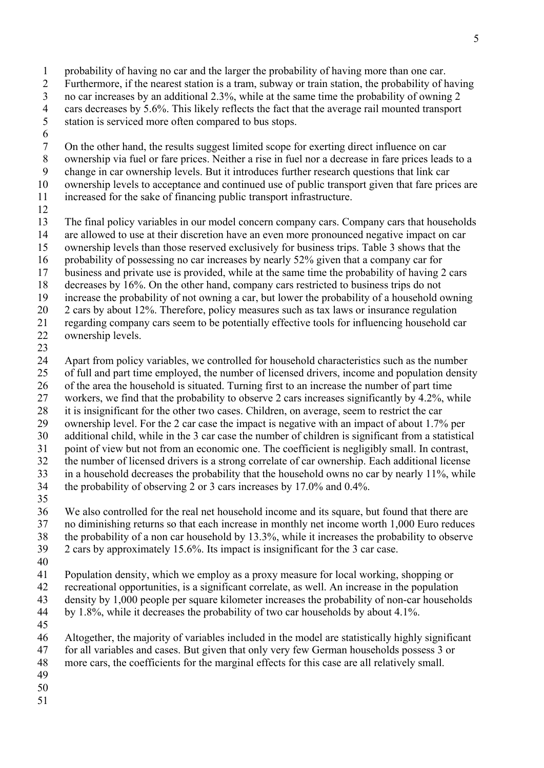- probability of having no car and the larger the probability of having more than one car. Furthermore, if the nearest station is a tram, subway or train station, the probability of having no car increases by an additional 2.3%, while at the same time the probability of owning 2 cars decreases by 5.6%. This likely reflects the fact that the average rail mounted transport station is serviced more often compared to bus stops. 1 2 3 4 5 6 7 8 9 10 11 12 13 14 15 16 17 18 19 20 21 22 On the other hand, the results suggest limited scope for exerting direct influence on car ownership via fuel or fare prices. Neither a rise in fuel nor a decrease in fare prices leads to a change in car ownership levels. But it introduces further research questions that link car ownership levels to acceptance and continued use of public transport given that fare prices are increased for the sake of financing public transport infrastructure. The final policy variables in our model concern company cars. Company cars that households are allowed to use at their discretion have an even more pronounced negative impact on car ownership levels than those reserved exclusively for business trips. Table 3 shows that the probability of possessing no car increases by nearly 52% given that a company car for business and private use is provided, while at the same time the probability of having 2 cars decreases by 16%. On the other hand, company cars restricted to business trips do not increase the probability of not owning a car, but lower the probability of a household owning 2 cars by about 12%. Therefore, policy measures such as tax laws or insurance regulation regarding company cars seem to be potentially effective tools for influencing household car ownership levels.
- 23

24 25 26 27 28 29 30 31 32 33 Apart from policy variables, we controlled for household characteristics such as the number of full and part time employed, the number of licensed drivers, income and population density of the area the household is situated. Turning first to an increase the number of part time workers, we find that the probability to observe 2 cars increases significantly by 4.2%, while it is insignificant for the other two cases. Children, on average, seem to restrict the car ownership level. For the 2 car case the impact is negative with an impact of about 1.7% per additional child, while in the 3 car case the number of children is significant from a statistical point of view but not from an economic one. The coefficient is negligibly small. In contrast, the number of licensed drivers is a strong correlate of car ownership. Each additional license in a household decreases the probability that the household owns no car by nearly 11%, while

- 34 the probability of observing 2 or 3 cars increases by 17.0% and 0.4%.
- 35

36 37 38 We also controlled for the real net household income and its square, but found that there are no diminishing returns so that each increase in monthly net income worth 1,000 Euro reduces the probability of a non car household by 13.3%, while it increases the probability to observe

- 39 2 cars by approximately 15.6%. Its impact is insignificant for the 3 car case.
- 40

41 Population density, which we employ as a proxy measure for local working, shopping or

- 42 recreational opportunities, is a significant correlate, as well. An increase in the population
- 43 density by 1,000 people per square kilometer increases the probability of non-car households
- 44 by 1.8%, while it decreases the probability of two car households by about 4.1%.
- 45

46 47 Altogether, the majority of variables included in the model are statistically highly significant for all variables and cases. But given that only very few German households possess 3 or

- 48 more cars, the coefficients for the marginal effects for this case are all relatively small.
- 49
- 50
- 51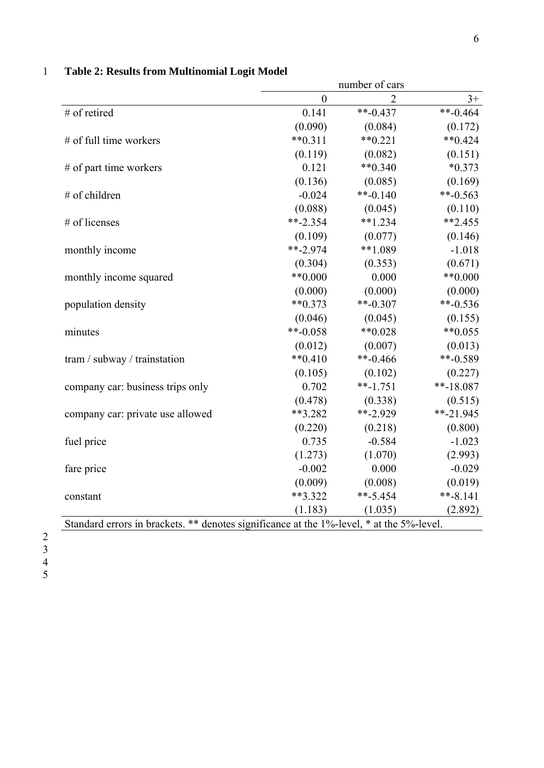|                                                                                          | number of cars   |                      |              |
|------------------------------------------------------------------------------------------|------------------|----------------------|--------------|
|                                                                                          | $\boldsymbol{0}$ | $\overline{2}$       | $3+$         |
| # of retired                                                                             | 0.141            | $**-0.437$           | $**-0.464$   |
|                                                                                          | (0.090)          | (0.084)              | (0.172)      |
| $#$ of full time workers                                                                 | $**0.311$        | $**0.221$            | $**0.424$    |
|                                                                                          | (0.119)          | (0.082)              | (0.151)      |
| $#$ of part time workers                                                                 | 0.121            | $**0.340$            | $*0.373$     |
|                                                                                          | (0.136)          | (0.085)              | (0.169)      |
| # of children                                                                            | $-0.024$         | $**-0.140$           | **-0.563     |
|                                                                                          | (0.088)          | (0.045)              | (0.110)      |
| # of licenses                                                                            | $**-2.354$       | $**1.234$            | $**2.455$    |
|                                                                                          | (0.109)          | (0.077)              | (0.146)      |
| monthly income                                                                           | $***-2.974$      | $**1.089$            | $-1.018$     |
|                                                                                          | (0.304)          | (0.353)              | (0.671)      |
| monthly income squared                                                                   | $**0.000$        | 0.000                | $**0.000$    |
|                                                                                          | (0.000)          | (0.000)              | (0.000)      |
| population density                                                                       | $**0.373$        | $**-0.307$           | $**-0.536$   |
|                                                                                          | (0.046)          | (0.045)              | (0.155)      |
| minutes                                                                                  | **-0.058         | $**0.028$            | $*$ *0.055   |
|                                                                                          | (0.012)          | (0.007)              | (0.013)      |
| tram / subway / trainstation                                                             | $**0.410$        | $**-0.466$           | $**-0.589$   |
|                                                                                          | (0.105)          | (0.102)              | (0.227)      |
| company car: business trips only                                                         | 0.702            | $***-1.751$          | $***-18.087$ |
|                                                                                          | (0.478)          | (0.338)              | (0.515)      |
| company car: private use allowed                                                         | **3.282          | $*$ <sup>2.929</sup> | $*$ *-21.945 |
|                                                                                          | (0.220)          | (0.218)              | (0.800)      |
| fuel price                                                                               | 0.735            | $-0.584$             | $-1.023$     |
|                                                                                          | (1.273)          | (1.070)              | (2.993)      |
| fare price                                                                               | $-0.002$         | 0.000                | $-0.029$     |
|                                                                                          | (0.009)          | (0.008)              | (0.019)      |
| constant                                                                                 | **3.322          | $***-5.454$          | $***-8.141$  |
|                                                                                          | (1.183)          | (1.035)              | (2.892)      |
| Standard errors in brackets. ** denotes significance at the 1%-level, * at the 5%-level. |                  |                      |              |

# 1 **Table 2: Results from Multinomial Logit Model**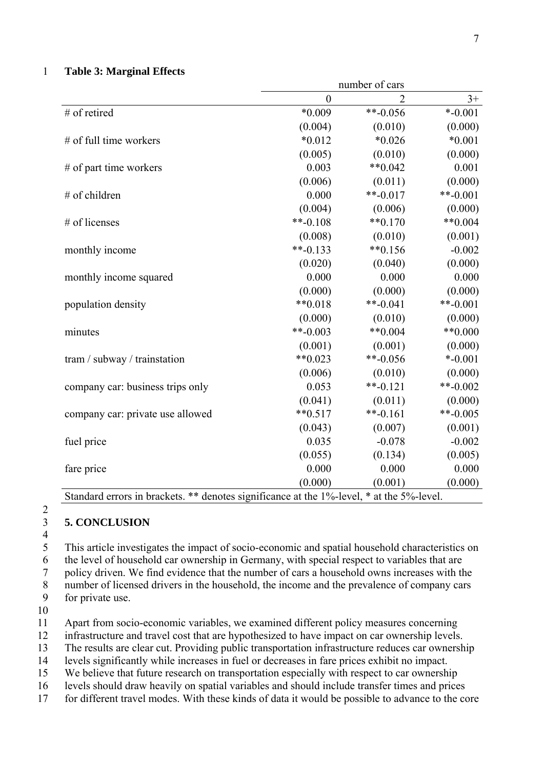#### 1 **Table 3: Marginal Effects**

|                                                                                          | number of cars |            |            |  |  |
|------------------------------------------------------------------------------------------|----------------|------------|------------|--|--|
|                                                                                          | $\overline{0}$ | 2          | $3+$       |  |  |
| # of retired                                                                             | $*0.009$       | $**-0.056$ | $* -0.001$ |  |  |
|                                                                                          | (0.004)        | (0.010)    | (0.000)    |  |  |
| # of full time workers                                                                   | $*0.012$       | $*0.026$   | $*0.001$   |  |  |
|                                                                                          | (0.005)        | (0.010)    | (0.000)    |  |  |
| $#$ of part time workers                                                                 | 0.003          | ** $0.042$ | 0.001      |  |  |
|                                                                                          | (0.006)        | (0.011)    | (0.000)    |  |  |
| # of children                                                                            | 0.000          | $**-0.017$ | $**-0.001$ |  |  |
|                                                                                          | (0.004)        | (0.006)    | (0.000)    |  |  |
| # of licenses                                                                            | $***-0.108$    | $**0.170$  | $**0.004$  |  |  |
|                                                                                          | (0.008)        | (0.010)    | (0.001)    |  |  |
| monthly income                                                                           | $**-0.133$     | $**0.156$  | $-0.002$   |  |  |
|                                                                                          | (0.020)        | (0.040)    | (0.000)    |  |  |
| monthly income squared                                                                   | 0.000          | 0.000      | 0.000      |  |  |
|                                                                                          | (0.000)        | (0.000)    | (0.000)    |  |  |
| population density                                                                       | $**0.018$      | $**-0.041$ | $**-0.001$ |  |  |
|                                                                                          | (0.000)        | (0.010)    | (0.000)    |  |  |
| minutes                                                                                  | **-0.003       | $**0.004$  | $**0.000$  |  |  |
|                                                                                          | (0.001)        | (0.001)    | (0.000)    |  |  |
| tram / subway / trainstation                                                             | $**0.023$      | $**-0.056$ | $* -0.001$ |  |  |
|                                                                                          | (0.006)        | (0.010)    | (0.000)    |  |  |
| company car: business trips only                                                         | 0.053          | $**-0.121$ | $**-0.002$ |  |  |
|                                                                                          | (0.041)        | (0.011)    | (0.000)    |  |  |
| company car: private use allowed                                                         | $**0.517$      | $**-0.161$ | **-0.005   |  |  |
|                                                                                          | (0.043)        | (0.007)    | (0.001)    |  |  |
| fuel price                                                                               | 0.035          | $-0.078$   | $-0.002$   |  |  |
|                                                                                          | (0.055)        | (0.134)    | (0.005)    |  |  |
| fare price                                                                               | 0.000          | 0.000      | 0.000      |  |  |
|                                                                                          | (0.000)        | (0.001)    | (0.000)    |  |  |
| Standard errors in brackets. ** denotes significance at the 1%-level, * at the 5%-level. |                |            |            |  |  |

<sup>3</sup>  4 5

2

6 7 8 This article investigates the impact of socio-economic and spatial household characteristics on the level of household car ownership in Germany, with special respect to variables that are policy driven. We find evidence that the number of cars a household owns increases with the number of licensed drivers in the household, the income and the prevalence of company cars

9 for private use.

**5. CONCLUSION** 

10

11 Apart from socio-economic variables, we examined different policy measures concerning

12 infrastructure and travel cost that are hypothesized to have impact on car ownership levels.

13 The results are clear cut. Providing public transportation infrastructure reduces car ownership

14 levels significantly while increases in fuel or decreases in fare prices exhibit no impact.

15 We believe that future research on transportation especially with respect to car ownership

16 levels should draw heavily on spatial variables and should include transfer times and prices

17 for different travel modes. With these kinds of data it would be possible to advance to the core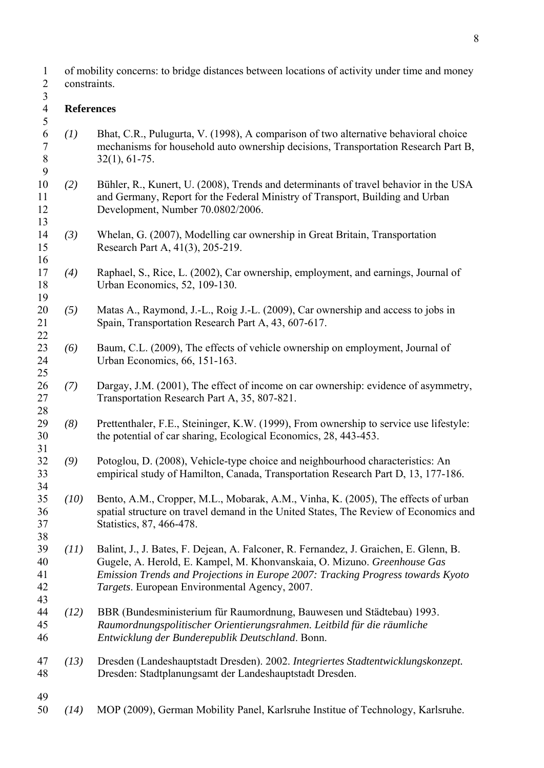of mobility concerns: to bridge distances between locations of activity under time and money constraints. 1 2

## 3

9

13

16

22

25

28

38

43

#### 4 5 **References**

- 6 7 8 *(1)* Bhat, C.R., Pulugurta, V. (1998), A comparison of two alternative behavioral choice mechanisms for household auto ownership decisions, Transportation Research Part B, 32(1), 61-75.
- 10 11 12 *(2)* Bühler, R., Kunert, U. (2008), Trends and determinants of travel behavior in the USA and Germany, Report for the Federal Ministry of Transport, Building and Urban Development, Number 70.0802/2006.
- 14 15 *(3)* Whelan, G. (2007), Modelling car ownership in Great Britain, Transportation Research Part A, 41(3), 205-219.
- 17 18 19 *(4)* Raphael, S., Rice, L. (2002), Car ownership, employment, and earnings, Journal of Urban Economics, 52, 109-130.
- 20 21 *(5)* Matas A., Raymond, J.-L., Roig J.-L. (2009), Car ownership and access to jobs in Spain, Transportation Research Part A, 43, 607-617.
- 23 24 *(6)* Baum, C.L. (2009), The effects of vehicle ownership on employment, Journal of Urban Economics, 66, 151-163.
- 26 27 *(7)* Dargay, J.M. (2001), The effect of income on car ownership: evidence of asymmetry, Transportation Research Part A, 35, 807-821.
- 29 30 31 *(8)* Prettenthaler, F.E., Steininger, K.W. (1999), From ownership to service use lifestyle: the potential of car sharing, Ecological Economics, 28, 443-453.
- 32 33 *(9)* Potoglou, D. (2008), Vehicle-type choice and neighbourhood characteristics: An empirical study of Hamilton, Canada, Transportation Research Part D, 13, 177-186.
- 34 35 36 37 *(10)* Bento, A.M., Cropper, M.L., Mobarak, A.M., Vinha, K. (2005), The effects of urban spatial structure on travel demand in the United States, The Review of Economics and Statistics, 87, 466-478.
- 39 40 41 42 *(11)* Balint, J., J. Bates, F. Dejean, A. Falconer, R. Fernandez, J. Graichen, E. Glenn, B. Gugele, A. Herold, E. Kampel, M. Khonvanskaia, O. Mizuno. *Greenhouse Gas Emission Trends and Projections in Europe 2007: Tracking Progress towards Kyoto Targets*. European Environmental Agency, 2007.
- 44 45 46 *(12)* BBR (Bundesministerium für Raumordnung, Bauwesen und Städtebau) 1993. *Raumordnungspolitischer Orientierungsrahmen. Leitbild für die räumliche Entwicklung der Bunderepublik Deutschland*. Bonn.
- 47 48 *(13)* Dresden (Landeshauptstadt Dresden). 2002. *Integriertes Stadtentwicklungskonzept.* Dresden: Stadtplanungsamt der Landeshauptstadt Dresden.
- 49
- 50 *(14)* MOP (2009), German Mobility Panel, Karlsruhe Institue of Technology, Karlsruhe.